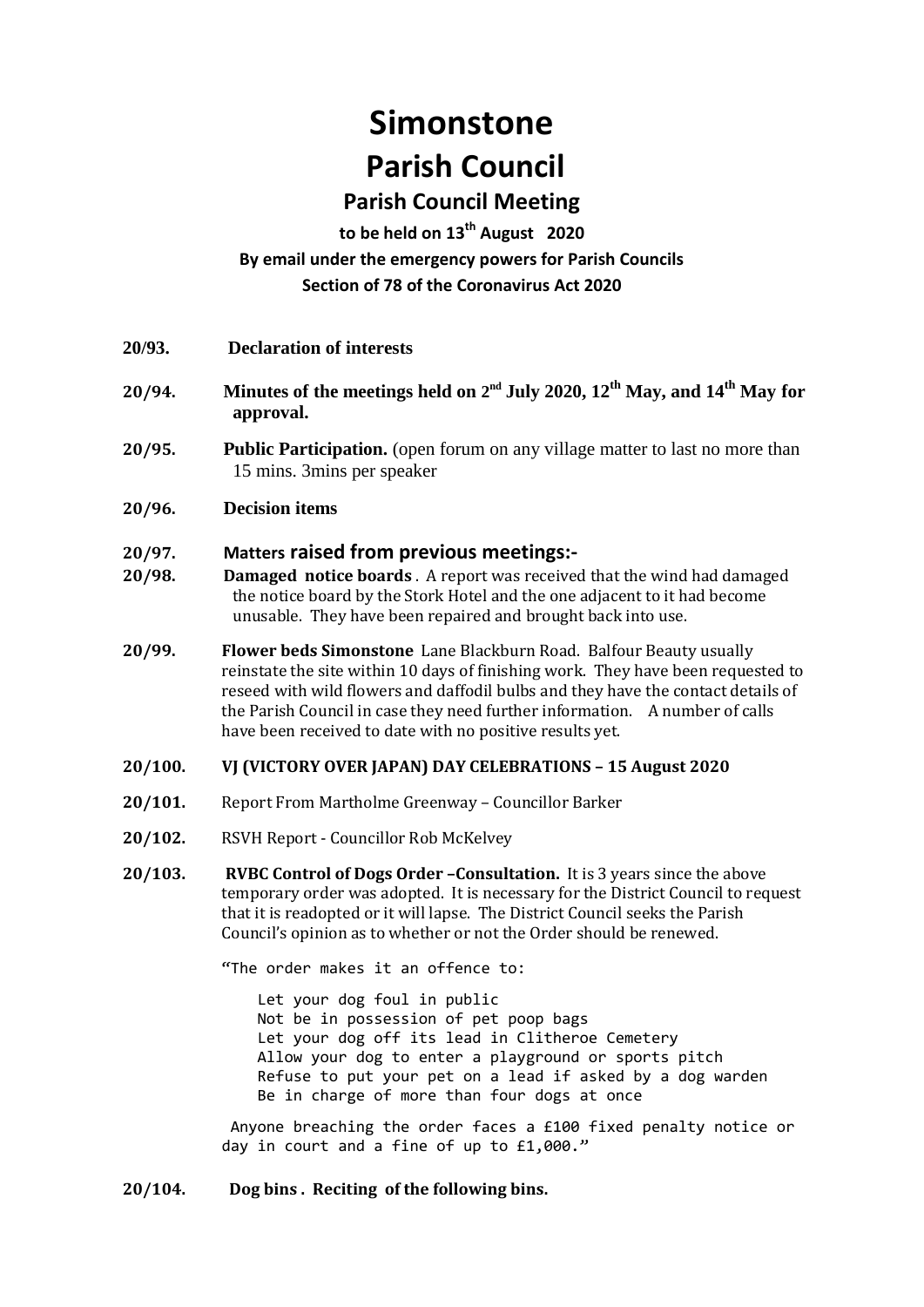# **Simonstone Parish Council**

## **Parish Council Meeting**

### **to be held on 13th August 2020 By email under the emergency powers for Parish Councils Section of 78 of the Coronavirus Act 2020**

- **20/94. Minutes of the meetings held on 2<sup>nd</sup> July 2020, 12<sup>th</sup> May, and 14<sup>th</sup> May for approval.**
- **20/95. Public Participation.** (open forum on any village matter to last no more than 15 mins. 3mins per speaker
- **20/96. Decision items**

#### **20/97. Matters raised from previous meetings:-**

- **20/98. Damaged notice boards** . A report was received that the wind had damaged the notice board by the Stork Hotel and the one adjacent to it had become unusable. They have been repaired and brought back into use.
- **20/99. Flower beds Simonstone** Lane Blackburn Road. Balfour Beauty usually reinstate the site within 10 days of finishing work. They have been requested to reseed with wild flowers and daffodil bulbs and they have the contact details of the Parish Council in case they need further information. A number of calls have been received to date with no positive results yet.

#### **20/100. VJ (VICTORY OVER JAPAN) DAY CELEBRATIONS – 15 August 2020**

- **20/101.** Report From Martholme Greenway Councillor Barker
- **20/102.** RSVH Report Councillor Rob McKelvey
- **20/103. RVBC Control of Dogs Order –Consultation.** It is 3 years since the above temporary order was adopted. It is necessary for the District Council to request that it is readopted or it will lapse. The District Council seeks the Parish Council's opinion as to whether or not the Order should be renewed.

"The order makes it an offence to:

 Let your dog foul in public Not be in possession of pet poop bags Let your dog off its lead in Clitheroe Cemetery Allow your dog to enter a playground or sports pitch Refuse to put your pet on a lead if asked by a dog warden Be in charge of more than four dogs at once

Anyone breaching the order faces a £100 fixed penalty notice or day in court and a fine of up to £1,000."

#### **20/104. Dog bins . Reciting of the following bins.**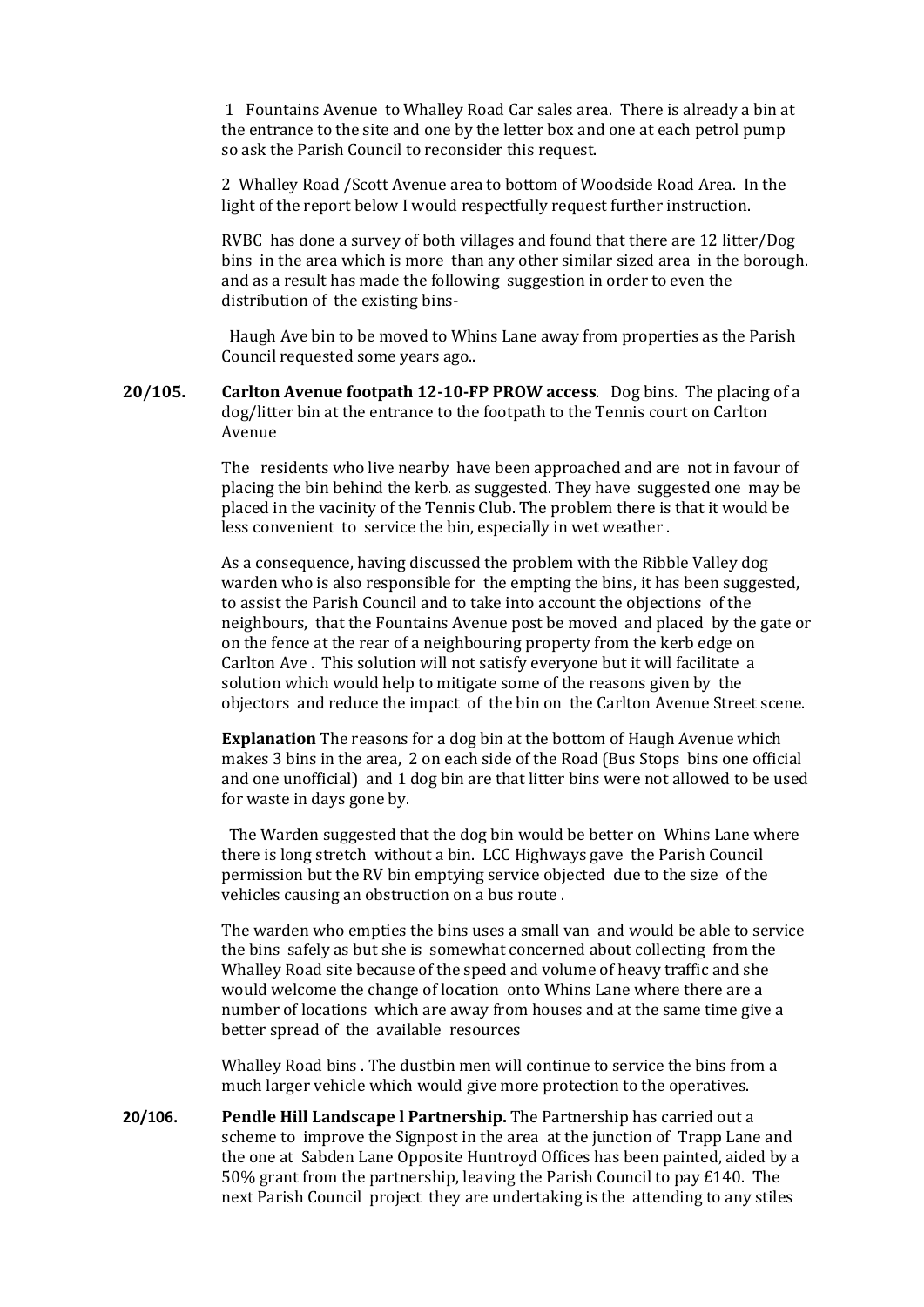1 Fountains Avenue to Whalley Road Car sales area. There is already a bin at the entrance to the site and one by the letter box and one at each petrol pump so ask the Parish Council to reconsider this request.

2 Whalley Road /Scott Avenue area to bottom of Woodside Road Area. In the light of the report below I would respectfully request further instruction.

RVBC has done a survey of both villages and found that there are 12 litter/Dog bins in the area which is more than any other similar sized area in the borough. and as a result has made the following suggestion in order to even the distribution of the existing bins-

Haugh Ave bin to be moved to Whins Lane away from properties as the Parish Council requested some years ago..

**20/105. Carlton Avenue footpath 12-10-FP PROW access**. Dog bins. The placing of a dog/litter bin at the entrance to the footpath to the Tennis court on Carlton Avenue

> The residents who live nearby have been approached and are not in favour of placing the bin behind the kerb. as suggested. They have suggested one may be placed in the vacinity of the Tennis Club. The problem there is that it would be less convenient to service the bin, especially in wet weather .

As a consequence, having discussed the problem with the Ribble Valley dog warden who is also responsible for the empting the bins, it has been suggested, to assist the Parish Council and to take into account the objections of the neighbours, that the Fountains Avenue post be moved and placed by the gate or on the fence at the rear of a neighbouring property from the kerb edge on Carlton Ave . This solution will not satisfy everyone but it will facilitate a solution which would help to mitigate some of the reasons given by the objectors and reduce the impact of the bin on the Carlton Avenue Street scene.

**Explanation** The reasons for a dog bin at the bottom of Haugh Avenue which makes 3 bins in the area, 2 on each side of the Road (Bus Stops bins one official and one unofficial) and 1 dog bin are that litter bins were not allowed to be used for waste in days gone by.

 The Warden suggested that the dog bin would be better on Whins Lane where there is long stretch without a bin. LCC Highways gave the Parish Council permission but the RV bin emptying service objected due to the size of the vehicles causing an obstruction on a bus route .

The warden who empties the bins uses a small van and would be able to service the bins safely as but she is somewhat concerned about collecting from the Whalley Road site because of the speed and volume of heavy traffic and she would welcome the change of location onto Whins Lane where there are a number of locations which are away from houses and at the same time give a better spread of the available resources

Whalley Road bins . The dustbin men will continue to service the bins from a much larger vehicle which would give more protection to the operatives.

**20/106. Pendle Hill Landscape l Partnership.** The Partnership has carried out a scheme to improve the Signpost in the area at the junction of Trapp Lane and the one at Sabden Lane Opposite Huntroyd Offices has been painted, aided by a 50% grant from the partnership, leaving the Parish Council to pay £140. The next Parish Council project they are undertaking is the attending to any stiles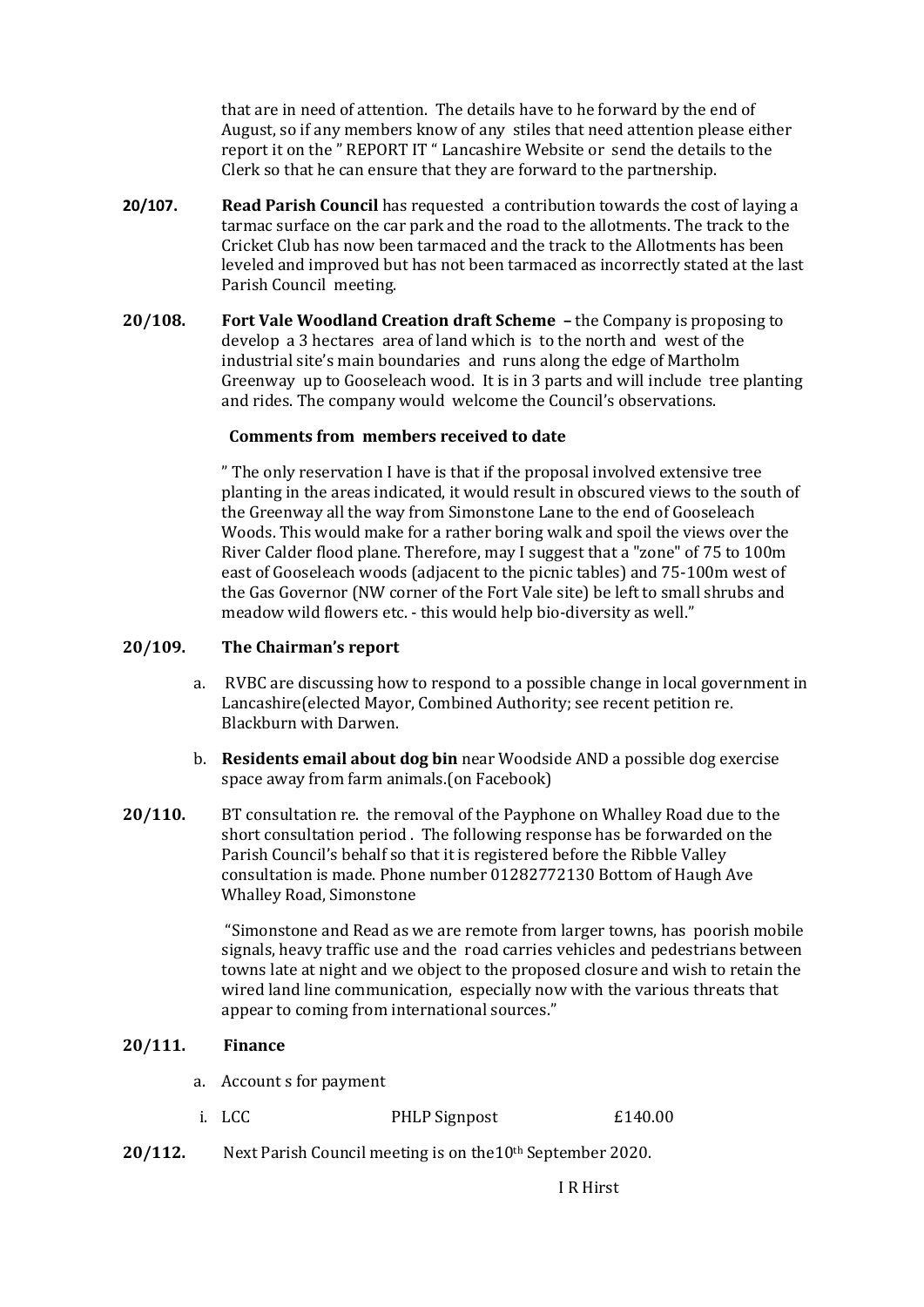that are in need of attention. The details have to he forward by the end of August, so if any members know of any stiles that need attention please either report it on the " REPORT IT " Lancashire Website or send the details to the Clerk so that he can ensure that they are forward to the partnership.

- **20/107. Read Parish Council** has requested a contribution towards the cost of laying a tarmac surface on the car park and the road to the allotments. The track to the Cricket Club has now been tarmaced and the track to the Allotments has been leveled and improved but has not been tarmaced as incorrectly stated at the last Parish Council meeting.
- **20/108. Fort Vale Woodland Creation draft Scheme –** the Company is proposing to develop a 3 hectares area of land which is to the north and west of the industrial site's main boundaries and runs along the edge of Martholm Greenway up to Gooseleach wood. It is in 3 parts and will include tree planting and rides. The company would welcome the Council's observations.

#### **Comments from members received to date**

" The only reservation I have is that if the proposal involved extensive tree planting in the areas indicated, it would result in obscured views to the south of the Greenway all the way from Simonstone Lane to the end of Gooseleach Woods. This would make for a rather boring walk and spoil the views over the River Calder flood plane. Therefore, may I suggest that a "zone" of 75 to 100m east of Gooseleach woods (adjacent to the picnic tables) and 75-100m west of the Gas Governor (NW corner of the Fort Vale site) be left to small shrubs and meadow wild flowers etc. - this would help bio-diversity as well."

#### **20/109. The Chairman's report**

- a. RVBC are discussing how to respond to a possible change in local government in Lancashire(elected Mayor, Combined Authority; see recent petition re. Blackburn with Darwen.
- b. **Residents email about dog bin** near Woodside AND a possible dog exercise space away from farm animals.(on Facebook)
- **20/110.** BT consultation re. the removal of the Payphone on Whalley Road due to the short consultation period . The following response has be forwarded on the Parish Council's behalf so that it is registered before the Ribble Valley consultation is made. Phone number 01282772130 Bottom of Haugh Ave Whalley Road, Simonstone

"Simonstone and Read as we are remote from larger towns, has poorish mobile signals, heavy traffic use and the road carries vehicles and pedestrians between towns late at night and we object to the proposed closure and wish to retain the wired land line communication, especially now with the various threats that appear to coming from international sources."

#### **20/111. Finance**

- a. Account s for payment
- i. LCC PHLP Signpost £140.00
- **20/112.** Next Parish Council meeting is on the10th September 2020.